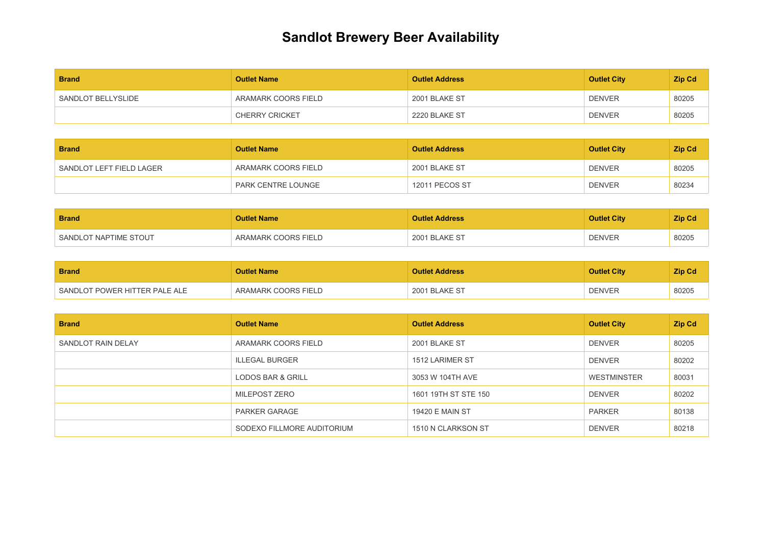## **Sandlot Brewery Beer Availability**

| <b>Brand</b>       | <b>Outlet Name</b>    | <b>Outlet Address</b> | <b>Outlet City</b> | <b>Zip Cd</b> |
|--------------------|-----------------------|-----------------------|--------------------|---------------|
| SANDLOT BELLYSLIDE | ARAMARK COORS FIELD   | 2001 BLAKE ST         | <b>DENVER</b>      | 80205         |
|                    | <b>CHERRY CRICKET</b> | 2220 BLAKE ST         | <b>DENVER</b>      | 80205         |

| <b>Brand</b>             | <b>Outlet Name</b>  | <b>Outlet Address</b> | <b>Outlet City</b> | <b>Zip Cd</b> |
|--------------------------|---------------------|-----------------------|--------------------|---------------|
| SANDLOT LEFT FIELD LAGER | ARAMARK COORS FIELD | 2001 BLAKE ST         | <b>DENVER</b>      | 80205         |
|                          | PARK CENTRE LOUNGE  | 12011 PECOS ST        | <b>DENVER</b>      | 80234         |

| <b>Brand</b>          | <b>Outlet Name</b>  | <b>Outlet Address</b> | <b>Outlet City</b> | <b>Zip Cd</b> |
|-----------------------|---------------------|-----------------------|--------------------|---------------|
| SANDLOT NAPTIME STOUT | ARAMARK COORS FIELD | 2001 BLAKE ST         | <b>DENVER</b>      | 80205         |

| <b>Brand</b>                  | <b>Outlet Name</b>  | <b>Outlet Address</b> | <b>Outlet City</b> | Zip Cd |
|-------------------------------|---------------------|-----------------------|--------------------|--------|
| SANDLOT POWER HITTER PALE ALE | ARAMARK COORS FIELD | 2001 BLAKE ST         | <b>DENVER</b>      | 80205  |

| <b>Brand</b>       | <b>Outlet Name</b>         | <b>Outlet Address</b> | <b>Outlet City</b> | Zip Cd |
|--------------------|----------------------------|-----------------------|--------------------|--------|
| SANDLOT RAIN DELAY | ARAMARK COORS FIELD        | 2001 BLAKE ST         | <b>DENVER</b>      | 80205  |
|                    | <b>ILLEGAL BURGER</b>      | 1512 LARIMER ST       | <b>DENVER</b>      | 80202  |
|                    | LODOS BAR & GRILL          | 3053 W 104TH AVE      | WESTMINSTER        | 80031  |
|                    | MILEPOST ZERO              | 1601 19TH ST STE 150  | <b>DENVER</b>      | 80202  |
|                    | <b>PARKER GARAGE</b>       | 19420 E MAIN ST       | <b>PARKER</b>      | 80138  |
|                    | SODEXO FILLMORE AUDITORIUM | 1510 N CLARKSON ST    | <b>DENVER</b>      | 80218  |